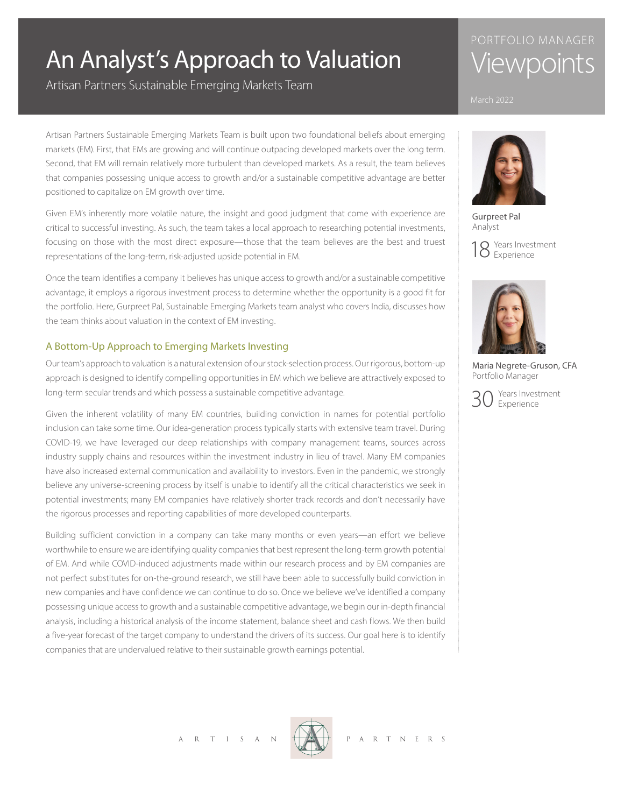# An Analyst's Approach to Valuation

Artisan Partners Sustainable Emerging Markets Team

## PORTFOLIO MANAGER **Viewpoints**



Gurpreet Pal Analyst

18 Years Investment



Maria Negrete-Gruson, CFA Portfolio Manager

Years Investment Experience

Artisan Partners Sustainable Emerging Markets Team is built upon two foundational beliefs about emerging markets (EM). First, that EMs are growing and will continue outpacing developed markets over the long term. Second, that EM will remain relatively more turbulent than developed markets. As a result, the team believes that companies possessing unique access to growth and/or a sustainable competitive advantage are better positioned to capitalize on EM growth over time.

Given EM's inherently more volatile nature, the insight and good judgment that come with experience are critical to successful investing. As such, the team takes a local approach to researching potential investments, focusing on those with the most direct exposure—those that the team believes are the best and truest representations of the long-term, risk-adjusted upside potential in EM.

Once the team identifies a company it believes has unique access to growth and/or a sustainable competitive advantage, it employs a rigorous investment process to determine whether the opportunity is a good fit for the portfolio. Here, Gurpreet Pal, Sustainable Emerging Markets team analyst who covers India, discusses how the team thinks about valuation in the context of EM investing.

### A Bottom-Up Approach to Emerging Markets Investing

Our team's approach to valuation is a natural extension of our stock-selection process. Our rigorous, bottom-up approach is designed to identify compelling opportunities in EM which we believe are attractively exposed to long-term secular trends and which possess a sustainable competitive advantage.

Given the inherent volatility of many EM countries, building conviction in names for potential portfolio inclusion can take some time. Our idea-generation process typically starts with extensive team travel. During COVID-19, we have leveraged our deep relationships with company management teams, sources across industry supply chains and resources within the investment industry in lieu of travel. Many EM companies have also increased external communication and availability to investors. Even in the pandemic, we strongly believe any universe-screening process by itself is unable to identify all the critical characteristics we seek in potential investments; many EM companies have relatively shorter track records and don't necessarily have the rigorous processes and reporting capabilities of more developed counterparts.

Building sufficient conviction in a company can take many months or even years—an effort we believe worthwhile to ensure we are identifying quality companies that best represent the long-term growth potential of EM. And while COVID-induced adjustments made within our research process and by EM companies are not perfect substitutes for on-the-ground research, we still have been able to successfully build conviction in new companies and have confidence we can continue to do so. Once we believe we've identified a company possessing unique access to growth and a sustainable competitive advantage, we begin our in-depth financial analysis, including a historical analysis of the income statement, balance sheet and cash flows. We then build a five-year forecast of the target company to understand the drivers of its success. Our goal here is to identify companies that are undervalued relative to their sustainable growth earnings potential.

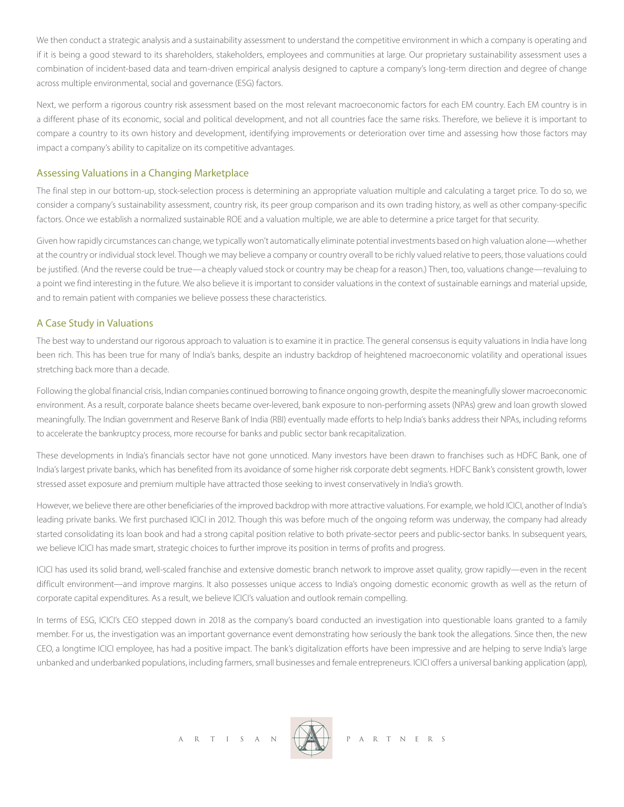We then conduct a strategic analysis and a sustainability assessment to understand the competitive environment in which a company is operating and if it is being a good steward to its shareholders, stakeholders, employees and communities at large. Our proprietary sustainability assessment uses a combination of incident-based data and team-driven empirical analysis designed to capture a company's long-term direction and degree of change across multiple environmental, social and governance (ESG) factors.

Next, we perform a rigorous country risk assessment based on the most relevant macroeconomic factors for each EM country. Each EM country is in a different phase of its economic, social and political development, and not all countries face the same risks. Therefore, we believe it is important to compare a country to its own history and development, identifying improvements or deterioration over time and assessing how those factors may impact a company's ability to capitalize on its competitive advantages.

#### Assessing Valuations in a Changing Marketplace

The final step in our bottom-up, stock-selection process is determining an appropriate valuation multiple and calculating a target price. To do so, we consider a company's sustainability assessment, country risk, its peer group comparison and its own trading history, as well as other company-specific factors. Once we establish a normalized sustainable ROE and a valuation multiple, we are able to determine a price target for that security.

Given how rapidly circumstances can change, we typically won't automatically eliminate potential investments based on high valuation alone—whether at the country or individual stock level. Though we may believe a company or country overall to be richly valued relative to peers, those valuations could be justified. (And the reverse could be true—a cheaply valued stock or country may be cheap for a reason.) Then, too, valuations change—revaluing to a point we find interesting in the future. We also believe it is important to consider valuations in the context of sustainable earnings and material upside, and to remain patient with companies we believe possess these characteristics.

#### A Case Study in Valuations

The best way to understand our rigorous approach to valuation is to examine it in practice. The general consensus is equity valuations in India have long been rich. This has been true for many of India's banks, despite an industry backdrop of heightened macroeconomic volatility and operational issues stretching back more than a decade.

Following the global financial crisis, Indian companies continued borrowing to finance ongoing growth, despite the meaningfully slower macroeconomic environment. As a result, corporate balance sheets became over-levered, bank exposure to non-performing assets (NPAs) grew and loan growth slowed meaningfully. The Indian government and Reserve Bank of India (RBI) eventually made efforts to help India's banks address their NPAs, including reforms to accelerate the bankruptcy process, more recourse for banks and public sector bank recapitalization.

These developments in India's financials sector have not gone unnoticed. Many investors have been drawn to franchises such as HDFC Bank, one of India's largest private banks, which has benefited from its avoidance of some higher risk corporate debt segments. HDFC Bank's consistent growth, lower stressed asset exposure and premium multiple have attracted those seeking to invest conservatively in India's growth.

However, we believe there are other beneficiaries of the improved backdrop with more attractive valuations. For example, we hold ICICI, another of India's leading private banks. We first purchased ICICI in 2012. Though this was before much of the ongoing reform was underway, the company had already started consolidating its loan book and had a strong capital position relative to both private-sector peers and public-sector banks. In subsequent years, we believe ICICI has made smart, strategic choices to further improve its position in terms of profits and progress.

ICICI has used its solid brand, well-scaled franchise and extensive domestic branch network to improve asset quality, grow rapidly—even in the recent difficult environment—and improve margins. It also possesses unique access to India's ongoing domestic economic growth as well as the return of corporate capital expenditures. As a result, we believe ICICI's valuation and outlook remain compelling.

In terms of ESG, ICICI's CEO stepped down in 2018 as the company's board conducted an investigation into questionable loans granted to a family member. For us, the investigation was an important governance event demonstrating how seriously the bank took the allegations. Since then, the new CEO, a longtime ICICI employee, has had a positive impact. The bank's digitalization efforts have been impressive and are helping to serve India's large unbanked and underbanked populations, including farmers, small businesses and female entrepreneurs. ICICI offers a universal banking application (app),